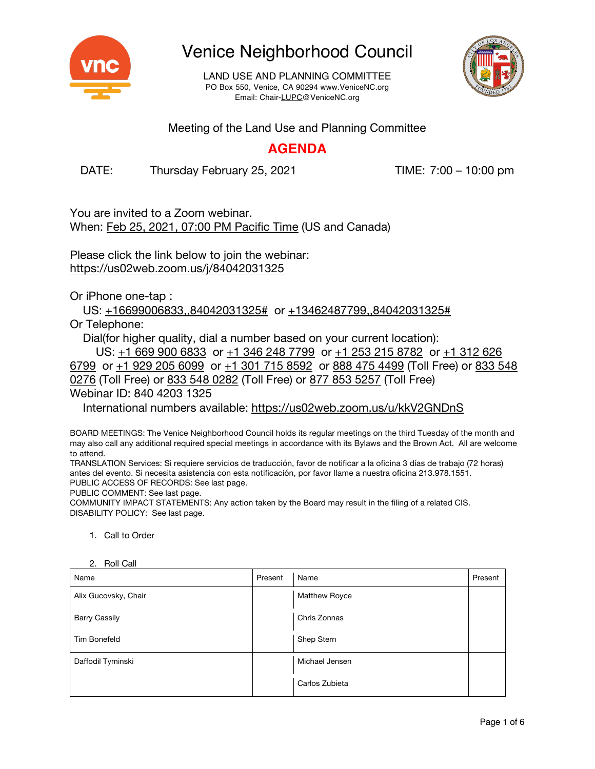

LAND USE AND PLANNING COMMITTEE PO Box 550, Venice, CA 90294 www.VeniceNC.org Email: Chair-LUPC@VeniceNC.org



Meeting of the Land Use and Planning Committee

### **AGENDA**

DATE: Thursday February 25, 2021 TIME: 7:00 – 10:00 pm

You are invited to a Zoom webinar. When: Feb 25, 2021, 07:00 PM Pacific Time (US and Canada)

Please click the link below to join the webinar: https://us02web.zoom.us/j/84042031325

Or iPhone one-tap :

US: +16699006833,,84042031325# or +13462487799,,84042031325# Or Telephone:

Dial(for higher quality, dial a number based on your current location):

US: +1 669 900 6833 or +1 346 248 7799 or +1 253 215 8782 or +1 312 626 6799 or +1 929 205 6099 or +1 301 715 8592 or 888 475 4499 (Toll Free) or 833 548 0276 (Toll Free) or 833 548 0282 (Toll Free) or 877 853 5257 (Toll Free)

Webinar ID: 840 4203 1325

International numbers available: https://us02web.zoom.us/u/kkV2GNDnS

BOARD MEETINGS: The Venice Neighborhood Council holds its regular meetings on the third Tuesday of the month and may also call any additional required special meetings in accordance with its Bylaws and the Brown Act. All are welcome to attend.

TRANSLATION Services: Si requiere servicios de traducción, favor de notificar a la oficina 3 días de trabajo (72 horas) antes del evento. Si necesita asistencia con esta notificación, por favor llame a nuestra oficina 213.978.1551. PUBLIC ACCESS OF RECORDS: See last page.

PUBLIC COMMENT: See last page.

COMMUNITY IMPACT STATEMENTS: Any action taken by the Board may result in the filing of a related CIS. DISABILITY POLICY: See last page.

1. Call to Order

| 2. NUIL VAIL<br>Name | Present | Name                 | Present |
|----------------------|---------|----------------------|---------|
| Alix Gucovsky, Chair |         | <b>Matthew Royce</b> |         |
| <b>Barry Cassily</b> |         | Chris Zonnas         |         |
| <b>Tim Bonefeld</b>  |         | Shep Stern           |         |
| Daffodil Tyminski    |         | Michael Jensen       |         |
|                      |         | Carlos Zubieta       |         |

2. Roll Call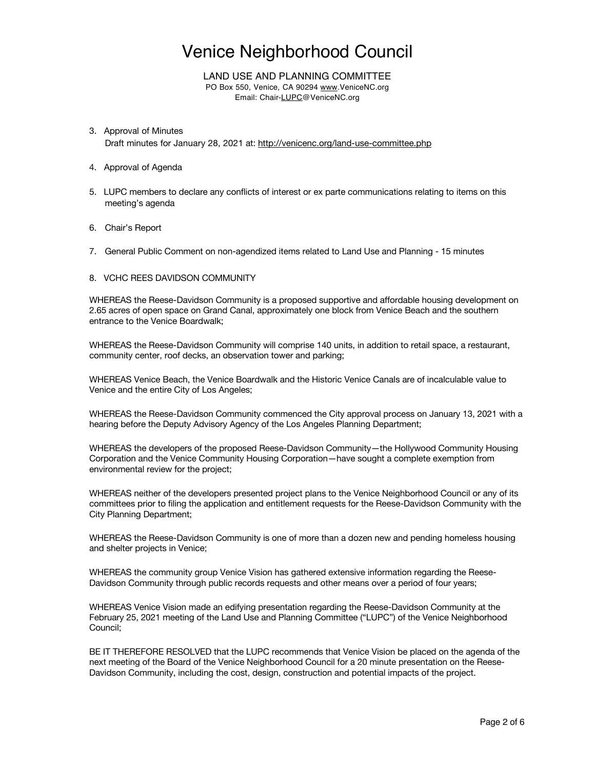LAND USE AND PLANNING COMMITTEE PO Box 550, Venice, CA 90294 www.VeniceNC.org Email: Chair-LUPC@VeniceNC.org

- 3. Approval of Minutes Draft minutes for January 28, 2021 at: http://venicenc.org/land-use-committee.php
- 4. Approval of Agenda
- 5. LUPC members to declare any conflicts of interest or ex parte communications relating to items on this meeting's agenda
- 6. Chair's Report
- 7. General Public Comment on non-agendized items related to Land Use and Planning 15 minutes

### 8. VCHC REES DAVIDSON COMMUNITY

WHEREAS the Reese-Davidson Community is a proposed supportive and affordable housing development on 2.65 acres of open space on Grand Canal, approximately one block from Venice Beach and the southern entrance to the Venice Boardwalk;

WHEREAS the Reese-Davidson Community will comprise 140 units, in addition to retail space, a restaurant, community center, roof decks, an observation tower and parking;

WHEREAS Venice Beach, the Venice Boardwalk and the Historic Venice Canals are of incalculable value to Venice and the entire City of Los Angeles;

WHEREAS the Reese-Davidson Community commenced the City approval process on January 13, 2021 with a hearing before the Deputy Advisory Agency of the Los Angeles Planning Department;

WHEREAS the developers of the proposed Reese-Davidson Community—the Hollywood Community Housing Corporation and the Venice Community Housing Corporation—have sought a complete exemption from environmental review for the project;

WHEREAS neither of the developers presented project plans to the Venice Neighborhood Council or any of its committees prior to filing the application and entitlement requests for the Reese-Davidson Community with the City Planning Department;

WHEREAS the Reese-Davidson Community is one of more than a dozen new and pending homeless housing and shelter projects in Venice;

WHEREAS the community group Venice Vision has gathered extensive information regarding the Reese-Davidson Community through public records requests and other means over a period of four years;

WHEREAS Venice Vision made an edifying presentation regarding the Reese-Davidson Community at the February 25, 2021 meeting of the Land Use and Planning Committee ("LUPC") of the Venice Neighborhood Council;

BE IT THEREFORE RESOLVED that the LUPC recommends that Venice Vision be placed on the agenda of the next meeting of the Board of the Venice Neighborhood Council for a 20 minute presentation on the Reese-Davidson Community, including the cost, design, construction and potential impacts of the project.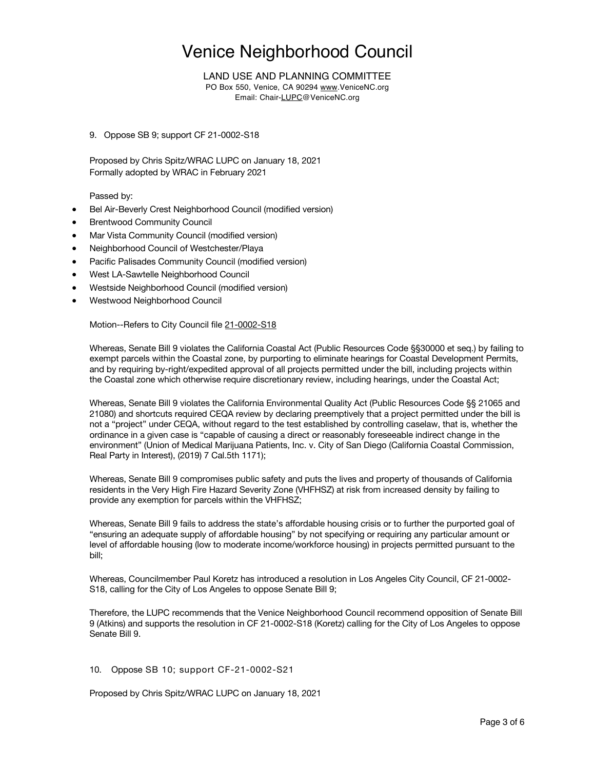LAND USE AND PLANNING COMMITTEE

PO Box 550, Venice, CA 90294 www.VeniceNC.org Email: Chair-LUPC@VeniceNC.org

9. Oppose SB 9; support CF 21-0002-S18

Proposed by Chris Spitz/WRAC LUPC on January 18, 2021 Formally adopted by WRAC in February 2021

Passed by:

- Bel Air-Beverly Crest Neighborhood Council (modified version)
- **Brentwood Community Council**
- Mar Vista Community Council (modified version)
- Neighborhood Council of Westchester/Playa
- Pacific Palisades Community Council (modified version)
- West LA-Sawtelle Neighborhood Council
- Westside Neighborhood Council (modified version)
- Westwood Neighborhood Council

Motion--Refers to City Council file 21-0002-S18

Whereas, Senate Bill 9 violates the California Coastal Act (Public Resources Code §§30000 et seq.) by failing to exempt parcels within the Coastal zone, by purporting to eliminate hearings for Coastal Development Permits, and by requiring by-right/expedited approval of all projects permitted under the bill, including projects within the Coastal zone which otherwise require discretionary review, including hearings, under the Coastal Act;

Whereas, Senate Bill 9 violates the California Environmental Quality Act (Public Resources Code §§ 21065 and 21080) and shortcuts required CEQA review by declaring preemptively that a project permitted under the bill is not a "project" under CEQA, without regard to the test established by controlling caselaw, that is, whether the ordinance in a given case is "capable of causing a direct or reasonably foreseeable indirect change in the environment" (Union of Medical Marijuana Patients, Inc. v. City of San Diego (California Coastal Commission, Real Party in Interest), (2019) 7 Cal.5th 1171);

Whereas, Senate Bill 9 compromises public safety and puts the lives and property of thousands of California residents in the Very High Fire Hazard Severity Zone (VHFHSZ) at risk from increased density by failing to provide any exemption for parcels within the VHFHSZ;

Whereas, Senate Bill 9 fails to address the state's affordable housing crisis or to further the purported goal of "ensuring an adequate supply of affordable housing" by not specifying or requiring any particular amount or level of affordable housing (low to moderate income/workforce housing) in projects permitted pursuant to the bill;

Whereas, Councilmember Paul Koretz has introduced a resolution in Los Angeles City Council, CF 21-0002- S18, calling for the City of Los Angeles to oppose Senate Bill 9;

Therefore, the LUPC recommends that the Venice Neighborhood Council recommend opposition of Senate Bill 9 (Atkins) and supports the resolution in CF 21-0002-S18 (Koretz) calling for the City of Los Angeles to oppose Senate Bill 9.

### 10. Oppose SB 10; support CF-21-0002-S21

Proposed by Chris Spitz/WRAC LUPC on January 18, 2021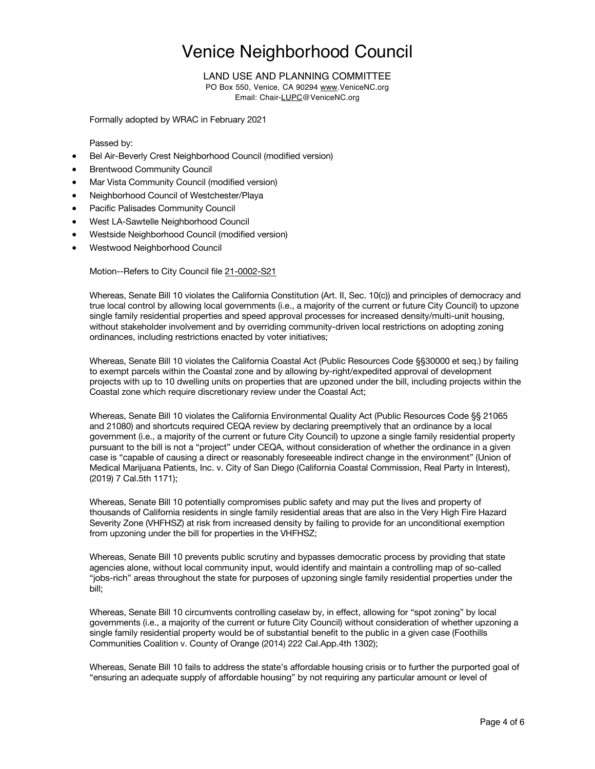### LAND USE AND PLANNING COMMITTEE

PO Box 550, Venice, CA 90294 www.VeniceNC.org Email: Chair-LUPC@VeniceNC.org

Formally adopted by WRAC in February 2021

### Passed by:

- Bel Air-Beverly Crest Neighborhood Council (modified version)
- **Brentwood Community Council**
- Mar Vista Community Council (modified version)
- Neighborhood Council of Westchester/Playa
- Pacific Palisades Community Council
- West LA-Sawtelle Neighborhood Council
- Westside Neighborhood Council (modified version)
- Westwood Neighborhood Council

Motion--Refers to City Council file 21-0002-S21

Whereas, Senate Bill 10 violates the California Constitution (Art. II, Sec. 10(c)) and principles of democracy and true local control by allowing local governments (i.e., a majority of the current or future City Council) to upzone single family residential properties and speed approval processes for increased density/multi-unit housing, without stakeholder involvement and by overriding community-driven local restrictions on adopting zoning ordinances, including restrictions enacted by voter initiatives;

Whereas, Senate Bill 10 violates the California Coastal Act (Public Resources Code §§30000 et seq.) by failing to exempt parcels within the Coastal zone and by allowing by-right/expedited approval of development projects with up to 10 dwelling units on properties that are upzoned under the bill, including projects within the Coastal zone which require discretionary review under the Coastal Act;

Whereas, Senate Bill 10 violates the California Environmental Quality Act (Public Resources Code §§ 21065 and 21080) and shortcuts required CEQA review by declaring preemptively that an ordinance by a local government (i.e., a majority of the current or future City Council) to upzone a single family residential property pursuant to the bill is not a "project" under CEQA, without consideration of whether the ordinance in a given case is "capable of causing a direct or reasonably foreseeable indirect change in the environment" (Union of Medical Marijuana Patients, Inc. v. City of San Diego (California Coastal Commission, Real Party in Interest), (2019) 7 Cal.5th 1171);

Whereas, Senate Bill 10 potentially compromises public safety and may put the lives and property of thousands of California residents in single family residential areas that are also in the Very High Fire Hazard Severity Zone (VHFHSZ) at risk from increased density by failing to provide for an unconditional exemption from upzoning under the bill for properties in the VHFHSZ;

Whereas, Senate Bill 10 prevents public scrutiny and bypasses democratic process by providing that state agencies alone, without local community input, would identify and maintain a controlling map of so-called "jobs-rich" areas throughout the state for purposes of upzoning single family residential properties under the bill;

Whereas, Senate Bill 10 circumvents controlling caselaw by, in effect, allowing for "spot zoning" by local governments (i.e., a majority of the current or future City Council) without consideration of whether upzoning a single family residential property would be of substantial benefit to the public in a given case (Foothills Communities Coalition v. County of Orange (2014) 222 Cal.App.4th 1302);

Whereas, Senate Bill 10 fails to address the state's affordable housing crisis or to further the purported goal of "ensuring an adequate supply of affordable housing" by not requiring any particular amount or level of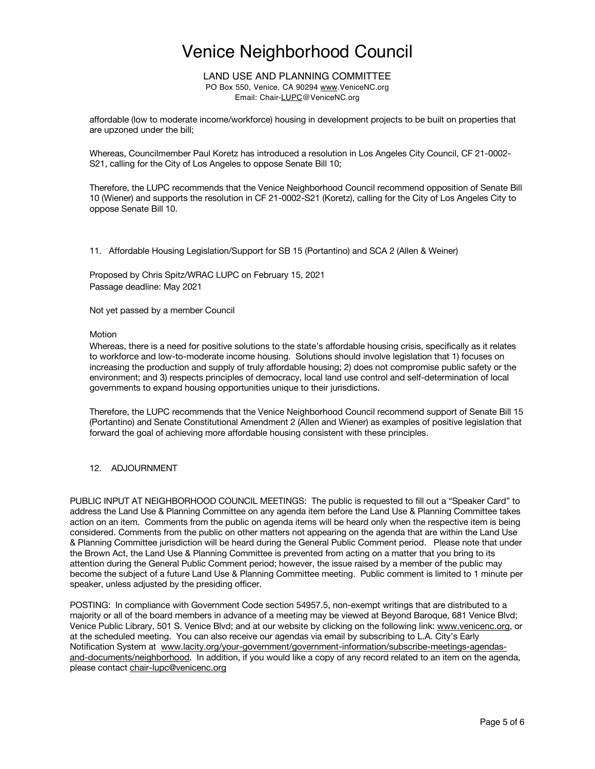LAND USE AND PLANNING COMMITTEE PO Box 550, Venice, CA 90294 www.VeniceNC.org Email: Chair-LUPC@VeniceNC.org

affordable (low to moderate income/workforce) housing in development projects to be built on properties that are upzoned under the bill;

Whereas, Councilmember Paul Koretz has introduced a resolution in Los Angeles City Council, CF 21-0002- S21, calling for the City of Los Angeles to oppose Senate Bill 10;

Therefore, the LUPC recommends that the Venice Neighborhood Council recommend opposition of Senate Bill 10 (Wiener) and supports the resolution in CF 21-0002-S21 (Koretz), calling for the City of Los Angeles City to oppose Senate Bill 10.

11. Affordable Housing Legislation/Support for SB 15 (Portantino) and SCA 2 (Allen & Weiner)

Proposed by Chris Spitz/WRAC LUPC on February 15, 2021 Passage deadline: May 2021

Not yet passed by a member Council

#### Motion

Whereas, there is a need for positive solutions to the state's affordable housing crisis, specifically as it relates to workforce and low-to-moderate income housing. Solutions should involve legislation that 1) focuses on increasing the production and supply of truly affordable housing; 2) does not compromise public safety or the environment; and 3) respects principles of democracy, local land use control and self-determination of local governments to expand housing opportunities unique to their jurisdictions.

Therefore, the LUPC recommends that the Venice Neighborhood Council recommend support of Senate Bill 15 (Portantino) and Senate Constitutional Amendment 2 (Allen and Wiener) as examples of positive legislation that forward the goal of achieving more affordable housing consistent with these principles.

### 12. ADJOURNMENT

PUBLIC INPUT AT NEIGHBORHOOD COUNCIL MEETINGS: The public is requested to fill out a "Speaker Card" to address the Land Use & Planning Committee on any agenda item before the Land Use & Planning Committee takes action on an item. Comments from the public on agenda items will be heard only when the respective item is being considered. Comments from the public on other matters not appearing on the agenda that are within the Land Use & Planning Committee jurisdiction will be heard during the General Public Comment period. Please note that under the Brown Act, the Land Use & Planning Committee is prevented from acting on a matter that you bring to its attention during the General Public Comment period; however, the issue raised by a member of the public may become the subject of a future Land Use & Planning Committee meeting. Public comment is limited to 1 minute per speaker, unless adjusted by the presiding officer.

POSTING: In compliance with Government Code section 54957.5, non-exempt writings that are distributed to a majority or all of the board members in advance of a meeting may be viewed at Beyond Baroque, 681 Venice Blvd; Venice Public Library, 501 S. Venice Blvd; and at our website by clicking on the following link: www.venicenc.org, or at the scheduled meeting. You can also receive our agendas via email by subscribing to L.A. City's Early Notification System at www.lacity.org/your-government/government-information/subscribe-meetings-agendasand-documents/neighborhood. In addition, if you would like a copy of any record related to an item on the agenda, please contact chair-lupc@venicenc.org